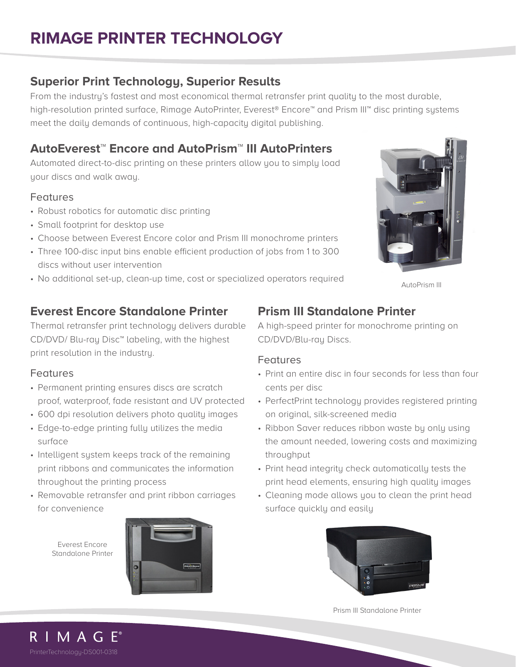# **RIMAGE PRINTER TECHNOLOGY**

### **Superior Print Technology, Superior Results**

From the industry's fastest and most economical thermal retransfer print quality to the most durable, high-resolution printed surface, Rimage AutoPrinter, Everest® Encore™ and Prism III™ disc printing systems meet the daily demands of continuous, high-capacity digital publishing.

# **AutoEverest**™ **Encore and AutoPrism**™ **III AutoPrinters**

Automated direct-to-disc printing on these printers allow you to simply load your discs and walk away.

### **Features**

- Robust robotics for automatic disc printing
- Small footprint for desktop use
- Choose between Everest Encore color and Prism III monochrome printers
- Three 100-disc input bins enable efficient production of jobs from 1 to 300 discs without user intervention
- No additional set-up, clean-up time, cost or specialized operators required

## **Everest Encore Standalone Printer**

Thermal retransfer print technology delivers durable CD/DVD/ Blu-ray Disc™ labeling, with the highest print resolution in the industry.

### Features

- Permanent printing ensures discs are scratch proof, waterproof, fade resistant and UV protected
- 600 dpi resolution delivers photo quality images
- Edge-to-edge printing fully utilizes the media surface
- Intelligent system keeps track of the remaining print ribbons and communicates the information throughout the printing process
- Removable retransfer and print ribbon carriages for convenience

Everest Encore Standalone Printer



# **Prism III Standalone Printer**

A high-speed printer for monochrome printing on CD/DVD/Blu-ray Discs.

#### Features

- Print an entire disc in four seconds for less than four cents per disc
- PerfectPrint technology provides registered printing on original, silk-screened media
- Ribbon Saver reduces ribbon waste by only using the amount needed, lowering costs and maximizing throughput
- Print head integrity check automatically tests the print head elements, ensuring high quality images
- Cleaning mode allows you to clean the print head surface quickly and easily



Prism III Standalone Printer



AutoPrism III

R I M A G E<sup>®</sup> PrinterTechnology-DS001-0318